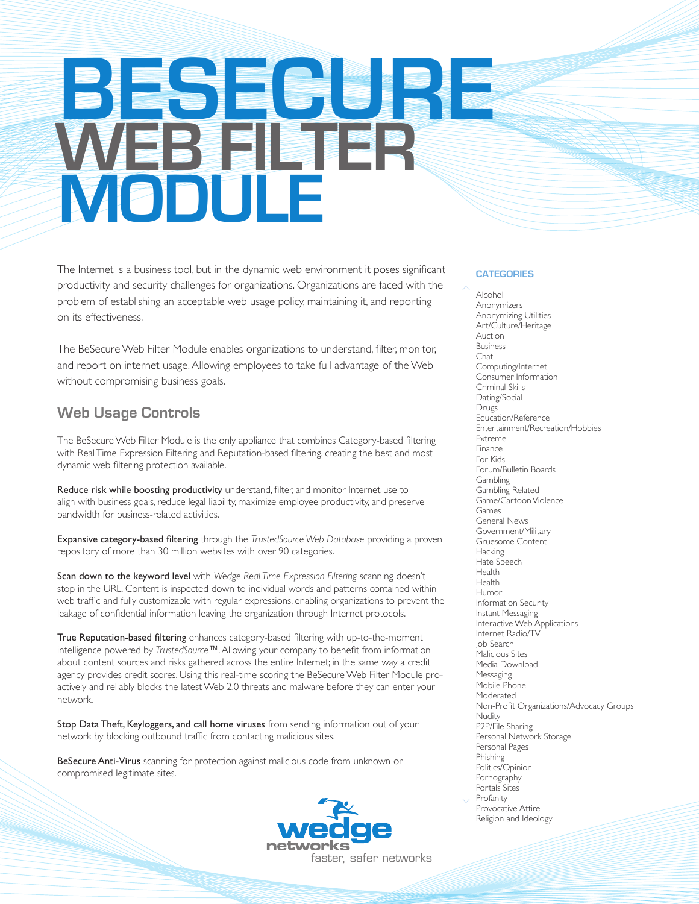# **BESECURE WEB FILTER MODULE**

The Internet is a business tool, but in the dynamic web environment it poses significant productivity and security challenges for organizations. Organizations are faced with the problem of establishing an acceptable web usage policy, maintaining it, and reporting on its effectiveness.

The BeSecure Web Filter Module enables organizations to understand, filter, monitor, and report on internet usage. Allowing employees to take full advantage of the Web without compromising business goals.

## **Web Usage Controls**

The BeSecure Web Filter Module is the only appliance that combines Category-based filtering with Real Time Expression Filtering and Reputation-based filtering, creating the best and most dynamic web filtering protection available.

Reduce risk while boosting productivity understand, filter, and monitor Internet use to align with business goals, reduce legal liability, maximize employee productivity, and preserve bandwidth for business-related activities.

Expansive category-based filtering through the *TrustedSource Web Database* providing a proven repository of more than 30 million websites with over 90 categories.

Scan down to the keyword level with *Wedge Real Time Expression Filtering* scanning doesn't stop in the URL. Content is inspected down to individual words and patterns contained within web traffic and fully customizable with regular expressions. enabling organizations to prevent the leakage of confidential information leaving the organization through Internet protocols.

True Reputation-based filtering enhances category-based filtering with up-to-the-moment intelligence powered by *TrustedSource™*. Allowing your company to benefit from information about content sources and risks gathered across the entire Internet; in the same way a credit agency provides credit scores. Using this real-time scoring the BeSecure Web Filter Module proactively and reliably blocks the latest Web 2.0 threats and malware before they can enter your network.

Stop Data Theft, Keyloggers, and call home viruses from sending information out of your network by blocking outbound traffic from contacting malicious sites.

BeSecure Anti-Virus scanning for protection against malicious code from unknown or compromised legitimate sites.



#### **CATEGORIES**

Alcohol Anonymizers Anonymizing Utilities Art/Culture/Heritage Auction Business Chat Computing/Internet Consumer Information Criminal Skills Dating/Social Drugs Education/Reference Entertainment/Recreation/Hobbies Extreme Finance For Kids Forum/Bulletin Boards Gambling Gambling Related Game/Cartoon Violence Games General News Government/Military Gruesome Content **Hacking** Hate Speech Health Health Humor Information Security Instant Messaging Interactive Web Applications Internet Radio/TV Job Search Malicious Sites Media Download Messaging Mobile Phone Moderated Non-Profit Organizations/Advocacy Groups **Nudity** P2P/File Sharing Personal Network Storage Personal Pages Phishing Politics/Opinion Pornography Portals Sites Profanity Provocative Attire Religion and Ideology